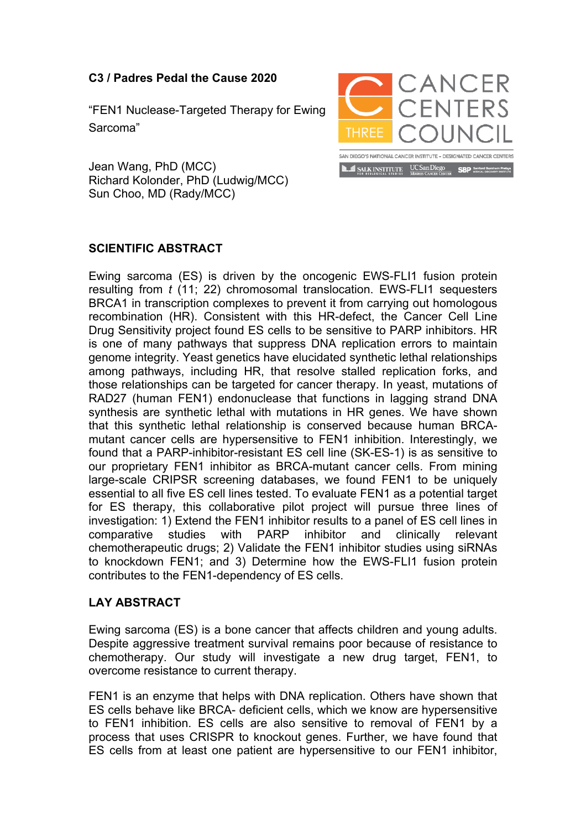## **C3 / Padres Pedal the Cause 2020**

"FEN1 Nuclease-Targeted Therapy for Ewing Sarcoma"



Jean Wang, PhD (MCC) Richard Kolonder, PhD (Ludwig/MCC) Sun Choo, MD (Rady/MCC)

## **SCIENTIFIC ABSTRACT**

Ewing sarcoma (ES) is driven by the oncogenic EWS-FLI1 fusion protein resulting from *t* (11; 22) chromosomal translocation. EWS-FLI1 sequesters BRCA1 in transcription complexes to prevent it from carrying out homologous recombination (HR). Consistent with this HR-defect, the Cancer Cell Line Drug Sensitivity project found ES cells to be sensitive to PARP inhibitors. HR is one of many pathways that suppress DNA replication errors to maintain genome integrity. Yeast genetics have elucidated synthetic lethal relationships among pathways, including HR, that resolve stalled replication forks, and those relationships can be targeted for cancer therapy. In yeast, mutations of RAD27 (human FEN1) endonuclease that functions in lagging strand DNA synthesis are synthetic lethal with mutations in HR genes. We have shown that this synthetic lethal relationship is conserved because human BRCAmutant cancer cells are hypersensitive to FEN1 inhibition. Interestingly, we found that a PARP-inhibitor-resistant ES cell line (SK-ES-1) is as sensitive to our proprietary FEN1 inhibitor as BRCA-mutant cancer cells. From mining large-scale CRIPSR screening databases, we found FEN1 to be uniquely essential to all five ES cell lines tested. To evaluate FEN1 as a potential target for ES therapy, this collaborative pilot project will pursue three lines of investigation: 1) Extend the FEN1 inhibitor results to a panel of ES cell lines in comparative studies with PARP inhibitor and clinically relevant chemotherapeutic drugs; 2) Validate the FEN1 inhibitor studies using siRNAs to knockdown FEN1; and 3) Determine how the EWS-FLI1 fusion protein contributes to the FEN1-dependency of ES cells.

## **LAY ABSTRACT**

Ewing sarcoma (ES) is a bone cancer that affects children and young adults. Despite aggressive treatment survival remains poor because of resistance to chemotherapy. Our study will investigate a new drug target, FEN1, to overcome resistance to current therapy.

FEN1 is an enzyme that helps with DNA replication. Others have shown that ES cells behave like BRCA- deficient cells, which we know are hypersensitive to FEN1 inhibition. ES cells are also sensitive to removal of FEN1 by a process that uses CRISPR to knockout genes. Further, we have found that ES cells from at least one patient are hypersensitive to our FEN1 inhibitor,